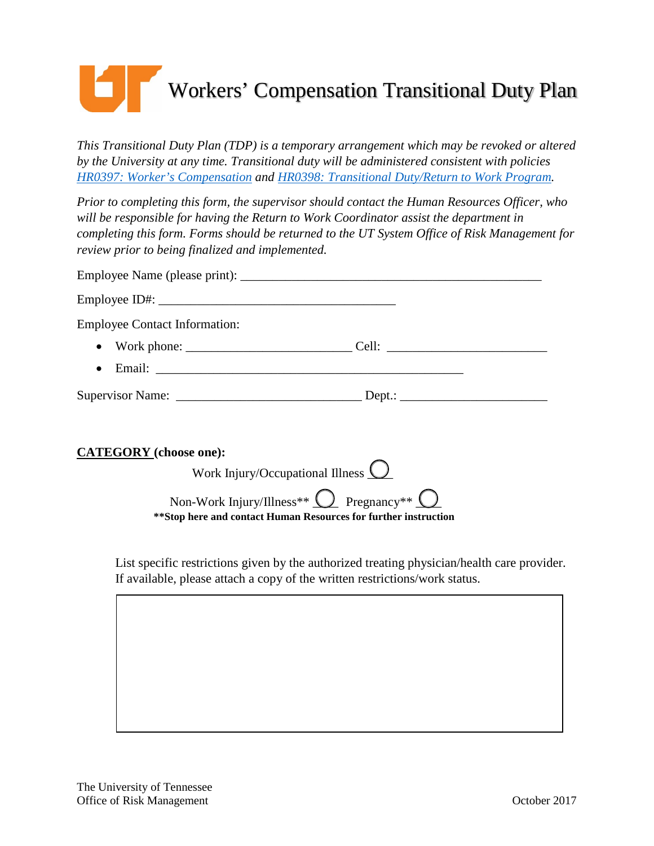## Workers' Compensation Transitional Duty Plan

*This Transitional Duty Plan (TDP) is a temporary arrangement which may be revoked or altered by the University at any time. Transitional duty will be administered consistent with policies [HR0397: Worker's Compensation](https://universitytennessee.policytech.com/dotNet/documents/?docid=139&public=true&siteid=1) and [HR0398: Transitional Duty/Return to Work Program.](https://universitytennessee.policytech.com/dotNet/documents/?docid=140&public=true&siteid=1)*

*Prior to completing this form, the supervisor should contact the Human Resources Officer, who will be responsible for having the Return to Work Coordinator assist the department in completing this form. Forms should be returned to the UT System Office of Risk Management for review prior to being finalized and implemented.*

| <b>Employee Contact Information:</b>              |  |
|---------------------------------------------------|--|
| • Work phone: $\qquad \qquad \qquad \text{Cell:}$ |  |
|                                                   |  |
|                                                   |  |

## **CATEGORY (choose one):**

| Work Injury/Occupational Illness $\bigcup$                                                                                     |  |
|--------------------------------------------------------------------------------------------------------------------------------|--|
| Non-Work Injury/Illness** $\bigcirc$ Pregnancy** $\bigcirc$<br>**Stop here and contact Human Resources for further instruction |  |

List specific restrictions given by the authorized treating physician/health care provider. If available, please attach a copy of the written restrictions/work status.